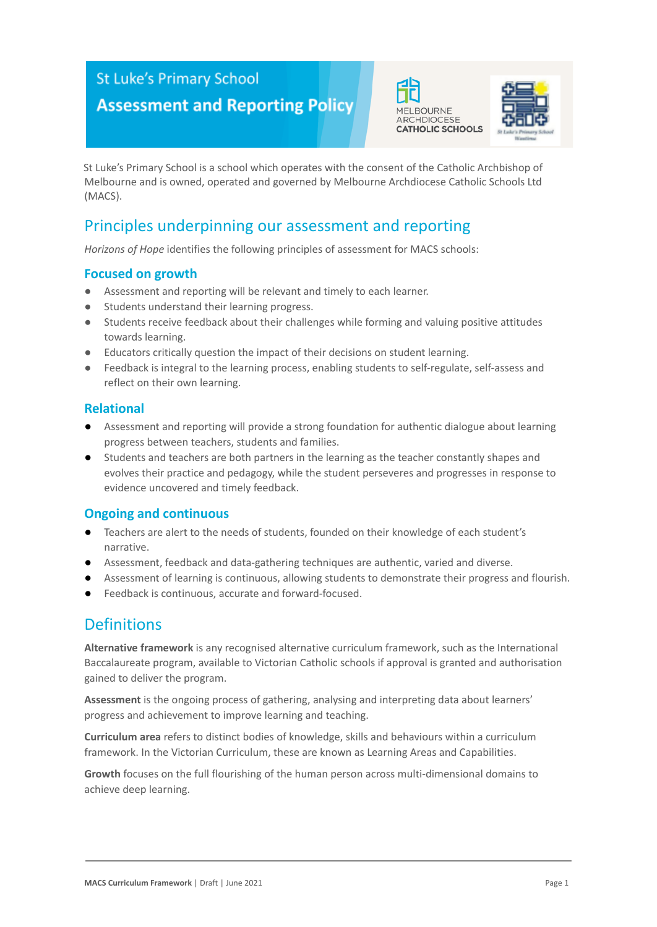## **St Luke's Primary School**

# **Assessment and Reporting Policy**





St Luke's Primary School is a school which operates with the consent of the Catholic Archbishop of Melbourne and is owned, operated and governed by Melbourne Archdiocese Catholic Schools Ltd (MACS).

### Principles underpinning our assessment and reporting

*Horizons of Hope* identifies the following principles of assessment for MACS schools:

#### **Focused on growth**

- Assessment and reporting will be relevant and timely to each learner.
- Students understand their learning progress.
- Students receive feedback about their challenges while forming and valuing positive attitudes towards learning.
- Educators critically question the impact of their decisions on student learning.
- Feedback is integral to the learning process, enabling students to self-regulate, self-assess and reflect on their own learning.

#### **Relational**

- Assessment and reporting will provide a strong foundation for authentic dialogue about learning progress between teachers, students and families.
- Students and teachers are both partners in the learning as the teacher constantly shapes and evolves their practice and pedagogy, while the student perseveres and progresses in response to evidence uncovered and timely feedback.

#### **Ongoing and continuous**

- Teachers are alert to the needs of students, founded on their knowledge of each student's narrative.
- Assessment, feedback and data-gathering techniques are authentic, varied and diverse.
- Assessment of learning is continuous, allowing students to demonstrate their progress and flourish.
- Feedback is continuous, accurate and forward-focused.

### **Definitions**

**Alternative framework** is any recognised alternative curriculum framework, such as the International Baccalaureate program, available to Victorian Catholic schools if approval is granted and authorisation gained to deliver the program.

**Assessment** is the ongoing process of gathering, analysing and interpreting data about learners' progress and achievement to improve learning and teaching.

**Curriculum area** refers to distinct bodies of knowledge, skills and behaviours within a curriculum framework. In the Victorian Curriculum, these are known as Learning Areas and Capabilities.

**Growth** focuses on the full flourishing of the human person across multi-dimensional domains to achieve deep learning.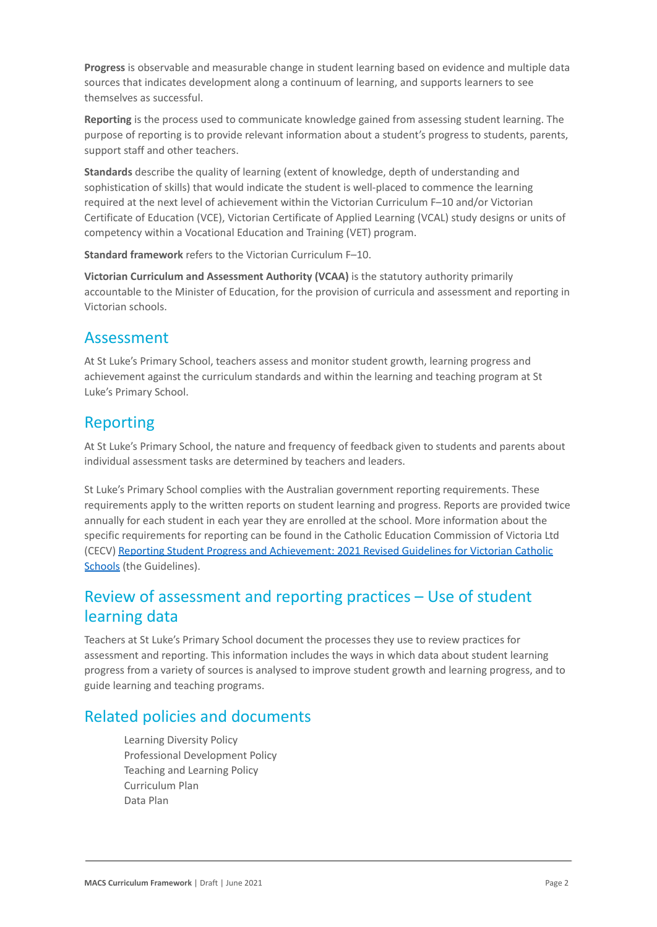**Progress** is observable and measurable change in student learning based on evidence and multiple data sources that indicates development along a continuum of learning, and supports learners to see themselves as successful.

**Reporting** is the process used to communicate knowledge gained from assessing student learning. The purpose of reporting is to provide relevant information about a student's progress to students, parents, support staff and other teachers.

**Standards** describe the quality of learning (extent of knowledge, depth of understanding and sophistication of skills) that would indicate the student is well-placed to commence the learning required at the next level of achievement within the Victorian Curriculum F–10 and/or Victorian Certificate of Education (VCE), Victorian Certificate of Applied Learning (VCAL) study designs or units of competency within a Vocational Education and Training (VET) program.

**Standard framework** refers to the Victorian Curriculum F–10.

**Victorian Curriculum and Assessment Authority (VCAA)** is the statutory authority primarily accountable to the Minister of Education, for the provision of curricula and assessment and reporting in Victorian schools.

### Assessment

At St Luke's Primary School, teachers assess and monitor student growth, learning progress and achievement against the curriculum standards and within the learning and teaching program at St Luke's Primary School.

## Reporting

At St Luke's Primary School, the nature and frequency of feedback given to students and parents about individual assessment tasks are determined by teachers and leaders.

St Luke's Primary School complies with the Australian government reporting requirements. These requirements apply to the written reports on student learning and progress. Reports are provided twice annually for each student in each year they are enrolled at the school. More information about the specific requirements for reporting can be found in the Catholic Education Commission of Victoria Ltd (CECV) [Reporting Student Progress and Achievement:](https://cevn.cecv.catholic.edu.au/MelbourneDiocese/Document-File/Curriculum/Reporting/CECV-2019-Revised-Student-Reporting-Guidelines.aspx) 2021 Revised Guidelines for Victorian Catholic [Schools](https://cevn.cecv.catholic.edu.au/MelbourneDiocese/Document-File/Curriculum/Reporting/CECV-2019-Revised-Student-Reporting-Guidelines.aspx) (the Guidelines).

## Review of assessment and reporting practices – Use of student learning data

Teachers at St Luke's Primary School document the processes they use to review practices for assessment and reporting. This information includes the ways in which data about student learning progress from a variety of sources is analysed to improve student growth and learning progress, and to guide learning and teaching programs.

## Related policies and documents

Learning Diversity Policy Professional Development Policy Teaching and Learning Policy Curriculum Plan Data Plan